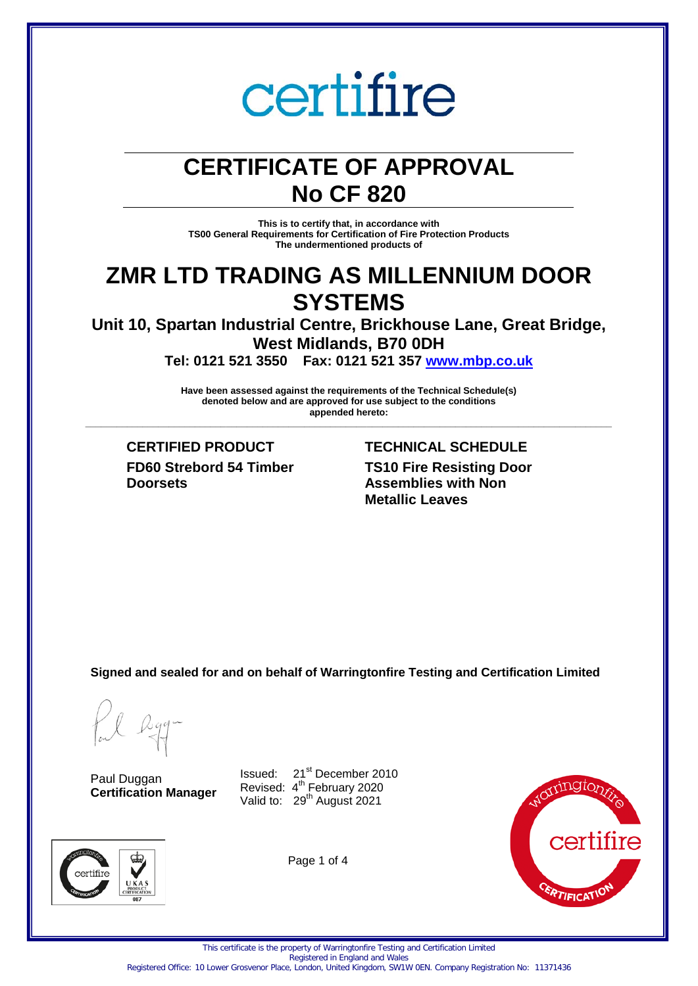## **CERTIFICATE OF APPROVAL No CF 820**

**This is to certify that, in accordance with TS00 General Requirements for Certification of Fire Protection Products The undermentioned products of**

### **ZMR LTD TRADING AS MILLENNIUM DOOR SYSTEMS**

**Unit 10, Spartan Industrial Centre, Brickhouse Lane, Great Bridge, West Midlands, B70 0DH**

**Tel: 0121 521 3550 Fax: 0121 521 357 [www.mbp.co.uk](http://www.mbp.co.uk/)**

**Have been assessed against the requirements of the Technical Schedule(s) denoted below and are approved for use subject to the conditions appended hereto:**

**\_\_\_\_\_\_\_\_\_\_\_\_\_\_\_\_\_\_\_\_\_\_\_\_\_\_\_\_\_\_\_\_\_\_\_\_\_\_\_\_\_\_\_\_\_\_\_\_\_\_\_\_\_\_\_\_\_\_\_\_\_\_\_\_\_\_\_\_\_\_\_\_\_\_\_\_\_\_\_\_\_\_\_\_\_\_\_\_\_\_\_\_\_\_\_\_\_\_\_\_\_**

**CERTIFIED PRODUCT TECHNICAL SCHEDULE FD60 Strebord 54 Timber Doorsets**

**TS10 Fire Resisting Door Assemblies with Non Metallic Leaves**

**Signed and sealed for and on behalf of Warringtonfire Testing and Certification Limited**

Paul Duggan **Certification Manager**

Issued: 21<sup>st</sup> December 2010 Revised: 4<sup>th</sup> February 2020 Valid to: 29<sup>th</sup> August 2021





Page 1 of 4

Registered Office: 10 Lower Grosvenor Place, London, United Kingdom, SW1W 0EN. Company Registration No: 11371436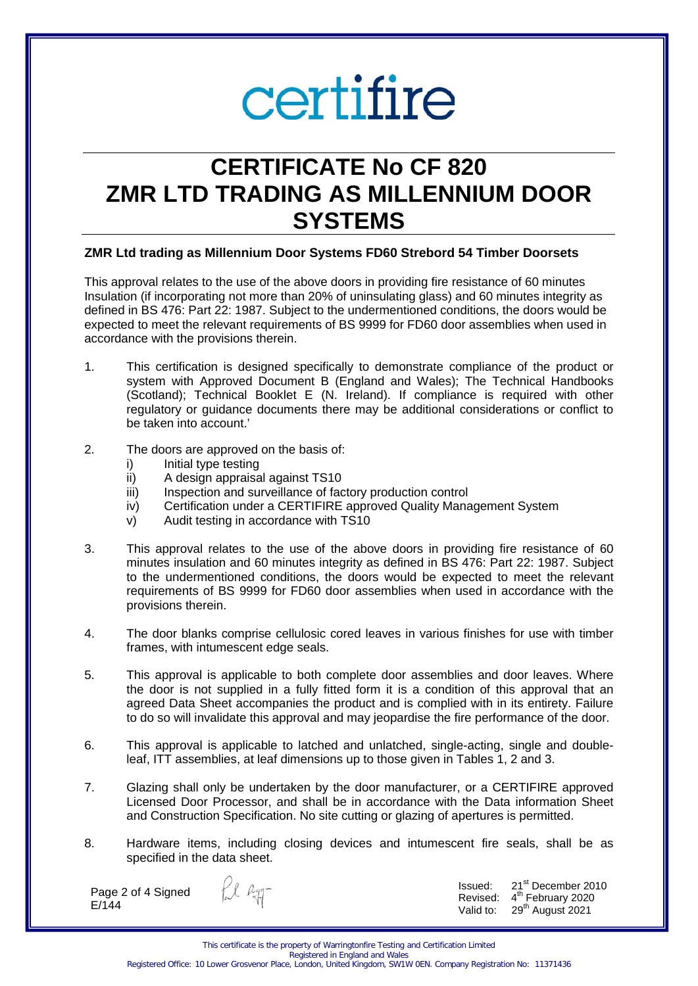## **CERTIFICATE No CF 820 ZMR LTD TRADING AS MILLENNIUM DOOR SYSTEMS**

#### **ZMR Ltd trading as Millennium Door Systems FD60 Strebord 54 Timber Doorsets**

This approval relates to the use of the above doors in providing fire resistance of 60 minutes Insulation (if incorporating not more than 20% of uninsulating glass) and 60 minutes integrity as defined in BS 476: Part 22: 1987. Subject to the undermentioned conditions, the doors would be expected to meet the relevant requirements of BS 9999 for FD60 door assemblies when used in accordance with the provisions therein.

- 1. This certification is designed specifically to demonstrate compliance of the product or system with Approved Document B (England and Wales); The Technical Handbooks (Scotland); Technical Booklet E (N. Ireland). If compliance is required with other regulatory or guidance documents there may be additional considerations or conflict to be taken into account.'
- 2. The doors are approved on the basis of:
	-
	- i) Initial type testing<br>ii) A design appraisa ii) A design appraisal against TS10<br>iii) lnspection and surveillance of fac
	- iii) Inspection and surveillance of factory production control<br>iv) Certification under a CERTIFIRE approved Quality Mana
	- Certification under a CERTIFIRE approved Quality Management System
	- v) Audit testing in accordance with TS10
- 3. This approval relates to the use of the above doors in providing fire resistance of 60 minutes insulation and 60 minutes integrity as defined in BS 476: Part 22: 1987. Subject to the undermentioned conditions, the doors would be expected to meet the relevant requirements of BS 9999 for FD60 door assemblies when used in accordance with the provisions therein.
- 4. The door blanks comprise cellulosic cored leaves in various finishes for use with timber frames, with intumescent edge seals.
- 5. This approval is applicable to both complete door assemblies and door leaves. Where the door is not supplied in a fully fitted form it is a condition of this approval that an agreed Data Sheet accompanies the product and is complied with in its entirety. Failure to do so will invalidate this approval and may jeopardise the fire performance of the door.
- 6. This approval is applicable to latched and unlatched, single-acting, single and doubleleaf, ITT assemblies, at leaf dimensions up to those given in Tables 1, 2 and 3.
- 7. Glazing shall only be undertaken by the door manufacturer, or a CERTIFIRE approved Licensed Door Processor, and shall be in accordance with the Data information Sheet and Construction Specification. No site cutting or glazing of apertures is permitted.
- 8. Hardware items, including closing devices and intumescent fire seals, shall be as specified in the data sheet.

Page 2 of 4 Signed E/144

fil agg-

Issued:  $21^{st}$  December 2010<br>Revised:  $4^{th}$  February 2020 Revised:  $4^{th}$  February 2020<br>Valid to:  $29^{th}$  August 2021  $29<sup>th</sup>$  August 2021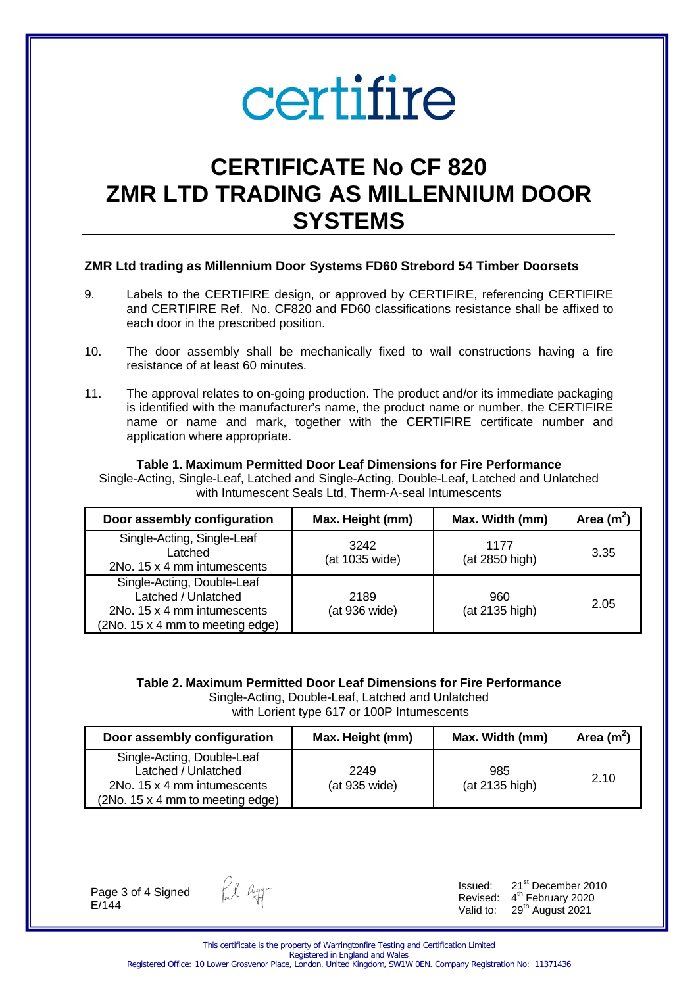## **CERTIFICATE No CF 820 ZMR LTD TRADING AS MILLENNIUM DOOR SYSTEMS**

#### **ZMR Ltd trading as Millennium Door Systems FD60 Strebord 54 Timber Doorsets**

- 9. Labels to the CERTIFIRE design, or approved by CERTIFIRE, referencing CERTIFIRE and CERTIFIRE Ref. No. CF820 and FD60 classifications resistance shall be affixed to each door in the prescribed position.
- 10. The door assembly shall be mechanically fixed to wall constructions having a fire resistance of at least 60 minutes.
- 11. The approval relates to on-going production. The product and/or its immediate packaging is identified with the manufacturer's name, the product name or number, the CERTIFIRE name or name and mark, together with the CERTIFIRE certificate number and application where appropriate.

#### **Table 1. Maximum Permitted Door Leaf Dimensions for Fire Performance** Single-Acting, Single-Leaf, Latched and Single-Acting, Double-Leaf, Latched and Unlatched with Intumescent Seals Ltd, Therm-A-seal Intumescents

| Door assembly configuration                                                                                          | Max. Width (mm)<br>Max. Height (mm) |                        | Area $(m2)$ |
|----------------------------------------------------------------------------------------------------------------------|-------------------------------------|------------------------|-------------|
| Single-Acting, Single-Leaf<br>Latched<br>2No. 15 x 4 mm intumescents                                                 | 3242<br>(at 1035 wide)              | 1177<br>(at 2850 high) | 3.35        |
| Single-Acting, Double-Leaf<br>Latched / Unlatched<br>2No. 15 x 4 mm intumescents<br>(2No. 15 x 4 mm to meeting edge) | 2189<br>(at 936 wide)               | 960<br>(at 2135 high)  | 2.05        |

#### **Table 2. Maximum Permitted Door Leaf Dimensions for Fire Performance**

Single-Acting, Double-Leaf, Latched and Unlatched with Lorient type 617 or 100P Intumescents

| Door assembly configuration                                                                                          | Max. Height (mm)      | Max. Width (mm)       | Area $(m^2)$ |
|----------------------------------------------------------------------------------------------------------------------|-----------------------|-----------------------|--------------|
| Single-Acting, Double-Leaf<br>Latched / Unlatched<br>2No. 15 x 4 mm intumescents<br>(2No. 15 x 4 mm to meeting edge) | 2249<br>(at 935 wide) | 985<br>(at 2135 high) | 2.10         |

Page 3 of 4 Signed E/144

fil agg-

Issued:  $21^{st}$  December 2010<br>Revised:  $4^{th}$  February 2020 Revised:  $4^{th}$  February 2020<br>Valid to:  $29^{th}$  August 2021 29<sup>th</sup> August 2021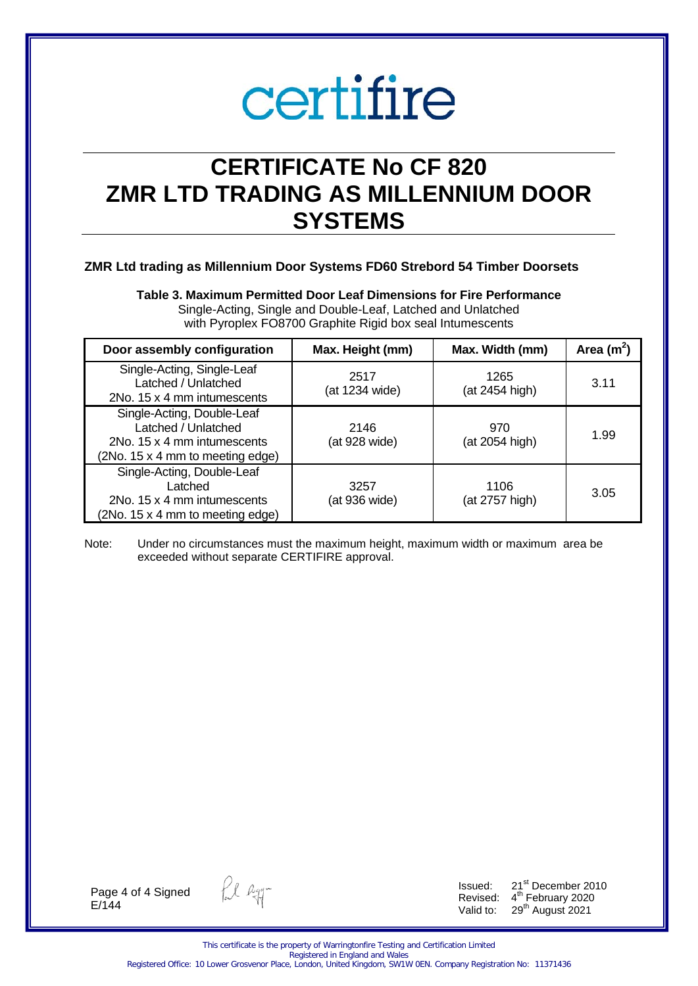## **CERTIFICATE No CF 820 ZMR LTD TRADING AS MILLENNIUM DOOR SYSTEMS**

#### **ZMR Ltd trading as Millennium Door Systems FD60 Strebord 54 Timber Doorsets**

**Table 3. Maximum Permitted Door Leaf Dimensions for Fire Performance** Single-Acting, Single and Double-Leaf, Latched and Unlatched with Pyroplex FO8700 Graphite Rigid box seal Intumescents

| Door assembly configuration                                                                                          | Max. Height (mm)       | Max. Width (mm)        | Area $(m2)$ |
|----------------------------------------------------------------------------------------------------------------------|------------------------|------------------------|-------------|
| Single-Acting, Single-Leaf<br>Latched / Unlatched<br>2No. 15 x 4 mm intumescents                                     | 2517<br>(at 1234 wide) | 1265<br>(at 2454 high) | 3.11        |
| Single-Acting, Double-Leaf<br>Latched / Unlatched<br>2No. 15 x 4 mm intumescents<br>(2No. 15 x 4 mm to meeting edge) | 2146<br>(at 928 wide)  | 970<br>(at 2054 high)  | 1.99        |
| Single-Acting, Double-Leaf<br>Latched<br>2No. 15 x 4 mm intumescents<br>(2No. 15 x 4 mm to meeting edge)             | 3257<br>(at 936 wide)  | 1106<br>(at 2757 high) | 3.05        |

Note: Under no circumstances must the maximum height, maximum width or maximum area be exceeded without separate CERTIFIRE approval.

Page 4 of 4 Signed E/144

fil egg-

Issued:  $21^{st}$  December 2010<br>Revised:  $4^{th}$  February 2020 Revised:  $4^{th}$  February 2020<br>Valid to:  $29^{th}$  August 2021 29<sup>th</sup> August 2021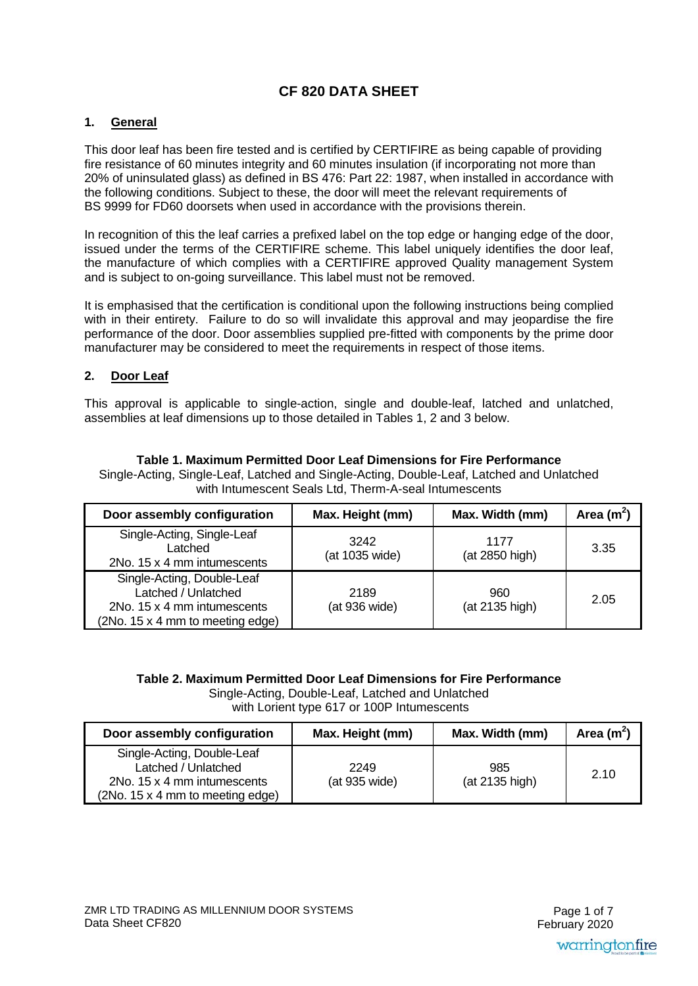### **CF 820 DATA SHEET**

#### **1. General**

This door leaf has been fire tested and is certified by CERTIFIRE as being capable of providing fire resistance of 60 minutes integrity and 60 minutes insulation (if incorporating not more than 20% of uninsulated glass) as defined in BS 476: Part 22: 1987, when installed in accordance with the following conditions. Subject to these, the door will meet the relevant requirements of BS 9999 for FD60 doorsets when used in accordance with the provisions therein.

In recognition of this the leaf carries a prefixed label on the top edge or hanging edge of the door, issued under the terms of the CERTIFIRE scheme. This label uniquely identifies the door leaf, the manufacture of which complies with a CERTIFIRE approved Quality management System and is subject to on-going surveillance. This label must not be removed.

It is emphasised that the certification is conditional upon the following instructions being complied with in their entirety. Failure to do so will invalidate this approval and may jeopardise the fire performance of the door. Door assemblies supplied pre-fitted with components by the prime door manufacturer may be considered to meet the requirements in respect of those items.

#### **2. Door Leaf**

This approval is applicable to single-action, single and double-leaf, latched and unlatched, assemblies at leaf dimensions up to those detailed in Tables 1, 2 and 3 below.

| Door assembly configuration                                                                                          | Max. Height (mm)       | Max. Width (mm)        | Area $(m2)$ |
|----------------------------------------------------------------------------------------------------------------------|------------------------|------------------------|-------------|
| Single-Acting, Single-Leaf<br>Latched<br>2No. 15 x 4 mm intumescents                                                 | 3242<br>(at 1035 wide) | 1177<br>(at 2850 high) | 3.35        |
| Single-Acting, Double-Leaf<br>Latched / Unlatched<br>2No. 15 x 4 mm intumescents<br>(2No. 15 x 4 mm to meeting edge) | 2189<br>(at 936 wide)  | 960<br>(at 2135 high)  | 2.05        |

#### **Table 1. Maximum Permitted Door Leaf Dimensions for Fire Performance** Single-Acting, Single-Leaf, Latched and Single-Acting, Double-Leaf, Latched and Unlatched

with Intumescent Seals Ltd, Therm-A-seal Intumescents

#### **Table 2. Maximum Permitted Door Leaf Dimensions for Fire Performance**

Single-Acting, Double-Leaf, Latched and Unlatched with Lorient type 617 or 100P Intumescents

| Door assembly configuration                                                                                          | Max. Height (mm)      | Max. Width (mm)       | Area $(m^2)$ |
|----------------------------------------------------------------------------------------------------------------------|-----------------------|-----------------------|--------------|
| Single-Acting, Double-Leaf<br>Latched / Unlatched<br>2No. 15 x 4 mm intumescents<br>(2No. 15 x 4 mm to meeting edge) | 2249<br>(at 935 wide) | 985<br>(at 2135 high) | 2.10         |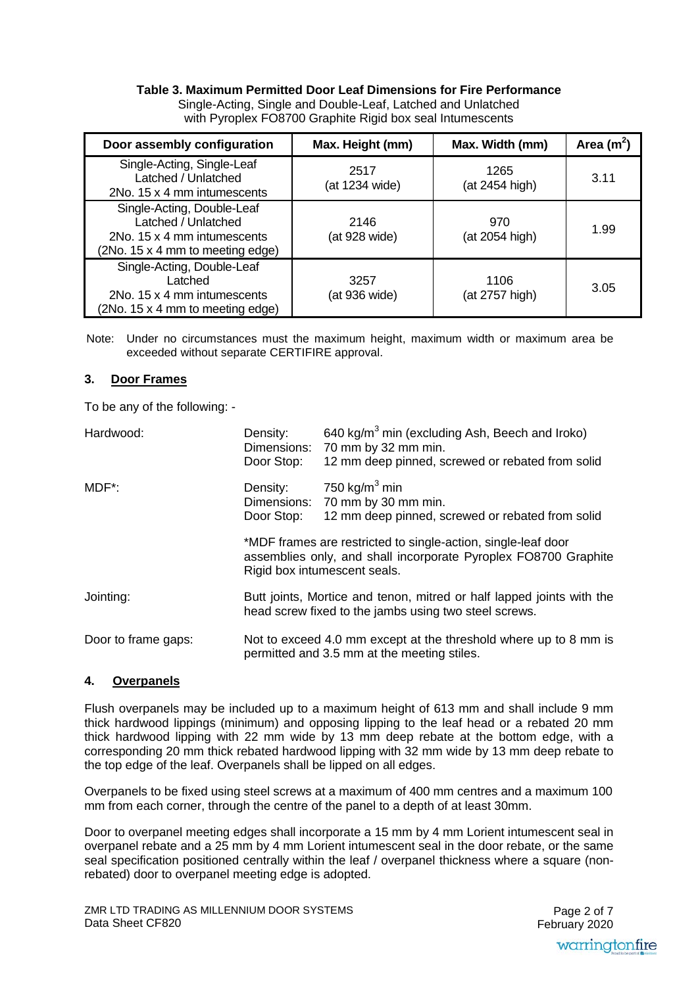#### **Table 3. Maximum Permitted Door Leaf Dimensions for Fire Performance**

Single-Acting, Single and Double-Leaf, Latched and Unlatched with Pyroplex FO8700 Graphite Rigid box seal Intumescents

| Door assembly configuration                                                                                          | Max. Height (mm)       | Max. Width (mm)        |      |
|----------------------------------------------------------------------------------------------------------------------|------------------------|------------------------|------|
| Single-Acting, Single-Leaf<br>Latched / Unlatched<br>2No. 15 x 4 mm intumescents                                     | 2517<br>(at 1234 wide) | 1265<br>(at 2454 high) | 3.11 |
| Single-Acting, Double-Leaf<br>Latched / Unlatched<br>2No. 15 x 4 mm intumescents<br>(2No. 15 x 4 mm to meeting edge) | 2146<br>(at 928 wide)  | 970<br>(at 2054 high)  | 1.99 |
| Single-Acting, Double-Leaf<br>Latched<br>2No. 15 x 4 mm intumescents<br>(2No. 15 x 4 mm to meeting edge)             | 3257<br>(at 936 wide)  | 1106<br>(at 2757 high) | 3.05 |

Note: Under no circumstances must the maximum height, maximum width or maximum area be exceeded without separate CERTIFIRE approval.

#### **3. Door Frames**

To be any of the following: -

| Hardwood:           | Density:<br>Dimensions:<br>Door Stop:                                                                                          | 640 kg/m <sup>3</sup> min (excluding Ash, Beech and Iroko)<br>70 mm by 32 mm min.<br>12 mm deep pinned, screwed or rebated from solid                            |  |
|---------------------|--------------------------------------------------------------------------------------------------------------------------------|------------------------------------------------------------------------------------------------------------------------------------------------------------------|--|
| MDF <sup>*</sup> :  | Density:<br>Door Stop:                                                                                                         | 750 kg/m $^3$ min<br>Dimensions: 70 mm by 30 mm min.<br>12 mm deep pinned, screwed or rebated from solid                                                         |  |
|                     |                                                                                                                                | *MDF frames are restricted to single-action, single-leaf door<br>assemblies only, and shall incorporate Pyroplex FO8700 Graphite<br>Rigid box intumescent seals. |  |
| Jointing:           | Butt joints, Mortice and tenon, mitred or half lapped joints with the<br>head screw fixed to the jambs using two steel screws. |                                                                                                                                                                  |  |
| Door to frame gaps: | Not to exceed 4.0 mm except at the threshold where up to 8 mm is<br>permitted and 3.5 mm at the meeting stiles.                |                                                                                                                                                                  |  |

#### **4. Overpanels**

Flush overpanels may be included up to a maximum height of 613 mm and shall include 9 mm thick hardwood lippings (minimum) and opposing lipping to the leaf head or a rebated 20 mm thick hardwood lipping with 22 mm wide by 13 mm deep rebate at the bottom edge, with a corresponding 20 mm thick rebated hardwood lipping with 32 mm wide by 13 mm deep rebate to the top edge of the leaf. Overpanels shall be lipped on all edges.

Overpanels to be fixed using steel screws at a maximum of 400 mm centres and a maximum 100 mm from each corner, through the centre of the panel to a depth of at least 30mm.

Door to overpanel meeting edges shall incorporate a 15 mm by 4 mm Lorient intumescent seal in overpanel rebate and a 25 mm by 4 mm Lorient intumescent seal in the door rebate, or the same seal specification positioned centrally within the leaf / overpanel thickness where a square (nonrebated) door to overpanel meeting edge is adopted.

 February 2020Page 2 of 7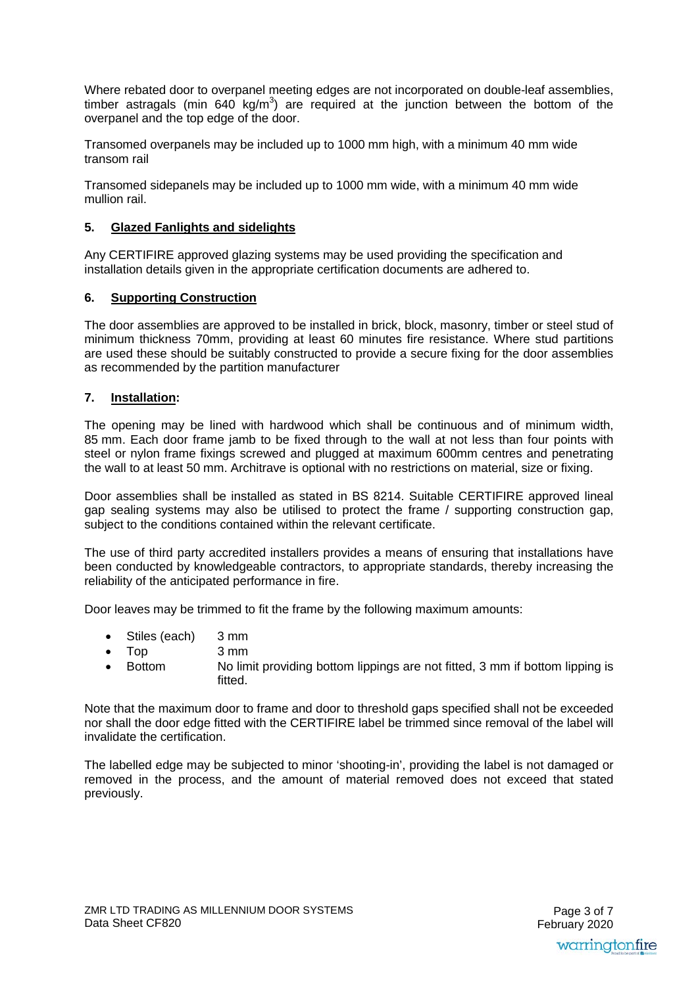Where rebated door to overpanel meeting edges are not incorporated on double-leaf assemblies, timber astragals (min 640 kg/m<sup>3</sup>) are required at the junction between the bottom of the overpanel and the top edge of the door.

Transomed overpanels may be included up to 1000 mm high, with a minimum 40 mm wide transom rail

Transomed sidepanels may be included up to 1000 mm wide, with a minimum 40 mm wide mullion rail.

#### **5. Glazed Fanlights and sidelights**

Any CERTIFIRE approved glazing systems may be used providing the specification and installation details given in the appropriate certification documents are adhered to.

#### **6. Supporting Construction**

The door assemblies are approved to be installed in brick, block, masonry, timber or steel stud of minimum thickness 70mm, providing at least 60 minutes fire resistance. Where stud partitions are used these should be suitably constructed to provide a secure fixing for the door assemblies as recommended by the partition manufacturer

#### **7. Installation:**

The opening may be lined with hardwood which shall be continuous and of minimum width, 85 mm. Each door frame jamb to be fixed through to the wall at not less than four points with steel or nylon frame fixings screwed and plugged at maximum 600mm centres and penetrating the wall to at least 50 mm. Architrave is optional with no restrictions on material, size or fixing.

Door assemblies shall be installed as stated in BS 8214. Suitable CERTIFIRE approved lineal gap sealing systems may also be utilised to protect the frame / supporting construction gap, subject to the conditions contained within the relevant certificate.

The use of third party accredited installers provides a means of ensuring that installations have been conducted by knowledgeable contractors, to appropriate standards, thereby increasing the reliability of the anticipated performance in fire.

Door leaves may be trimmed to fit the frame by the following maximum amounts:

- Stiles (each) 3 mm
- Top 3 mm
- Bottom No limit providing bottom lippings are not fitted, 3 mm if bottom lipping is fitted.

Note that the maximum door to frame and door to threshold gaps specified shall not be exceeded nor shall the door edge fitted with the CERTIFIRE label be trimmed since removal of the label will invalidate the certification.

The labelled edge may be subjected to minor 'shooting-in', providing the label is not damaged or removed in the process, and the amount of material removed does not exceed that stated previously.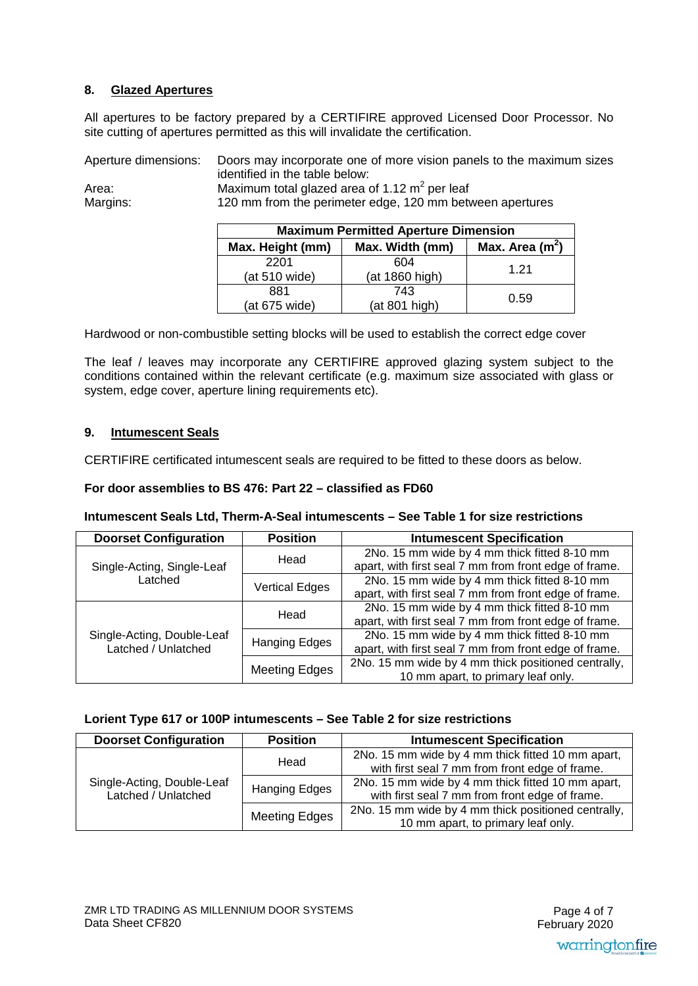#### **8. Glazed Apertures**

All apertures to be factory prepared by a CERTIFIRE approved Licensed Door Processor. No site cutting of apertures permitted as this will invalidate the certification.

Aperture dimensions: Doors may incorporate one of more vision panels to the maximum sizes identified in the table below:<br>Area: Maximum total glazed area of Area: Maximum total glazed area of 1.12 m<sup>2</sup> per leaf Margins: 120 mm from the perimeter edge, 120 mm betw 120 mm from the perimeter edge, 120 mm between apertures

| <b>Maximum Permitted Aperture Dimension</b>              |                |      |  |  |
|----------------------------------------------------------|----------------|------|--|--|
| Max. Area $(m^2)$<br>Max. Width (mm)<br>Max. Height (mm) |                |      |  |  |
| 2201                                                     | 604            | 1 21 |  |  |
| (at 510 wide)                                            | (at 1860 high) |      |  |  |
| 881                                                      | 743            | 0.59 |  |  |
| (at 675 wide)                                            | (at 801 high)  |      |  |  |

Hardwood or non-combustible setting blocks will be used to establish the correct edge cover

The leaf / leaves may incorporate any CERTIFIRE approved glazing system subject to the conditions contained within the relevant certificate (e.g. maximum size associated with glass or system, edge cover, aperture lining requirements etc).

#### **9. Intumescent Seals**

CERTIFIRE certificated intumescent seals are required to be fitted to these doors as below.

#### **For door assemblies to BS 476: Part 22 – classified as FD60**

#### **Intumescent Seals Ltd, Therm-A-Seal intumescents – See Table 1 for size restrictions**

| <b>Doorset Configuration</b> | <b>Position</b>       | <b>Intumescent Specification</b>                      |
|------------------------------|-----------------------|-------------------------------------------------------|
|                              | Head                  | 2No. 15 mm wide by 4 mm thick fitted 8-10 mm          |
| Single-Acting, Single-Leaf   |                       | apart, with first seal 7 mm from front edge of frame. |
| Latched                      | <b>Vertical Edges</b> | 2No. 15 mm wide by 4 mm thick fitted 8-10 mm          |
|                              |                       | apart, with first seal 7 mm from front edge of frame. |
|                              | Head                  | 2No. 15 mm wide by 4 mm thick fitted 8-10 mm          |
|                              |                       | apart, with first seal 7 mm from front edge of frame. |
| Single-Acting, Double-Leaf   |                       | 2No. 15 mm wide by 4 mm thick fitted 8-10 mm          |
| Latched / Unlatched          | <b>Hanging Edges</b>  | apart, with first seal 7 mm from front edge of frame. |
|                              | <b>Meeting Edges</b>  | 2No. 15 mm wide by 4 mm thick positioned centrally,   |
|                              |                       | 10 mm apart, to primary leaf only.                    |

#### **Lorient Type 617 or 100P intumescents – See Table 2 for size restrictions**

| <b>Doorset Configuration</b>                      | <b>Position</b> | <b>Intumescent Specification</b>                                                                    |
|---------------------------------------------------|-----------------|-----------------------------------------------------------------------------------------------------|
|                                                   | Head            | 2No. 15 mm wide by 4 mm thick fitted 10 mm apart,<br>with first seal 7 mm from front edge of frame. |
| Single-Acting, Double-Leaf<br>Latched / Unlatched | Hanging Edges   | 2No. 15 mm wide by 4 mm thick fitted 10 mm apart,<br>with first seal 7 mm from front edge of frame. |
|                                                   | Meeting Edges   | 2No. 15 mm wide by 4 mm thick positioned centrally,<br>10 mm apart, to primary leaf only.           |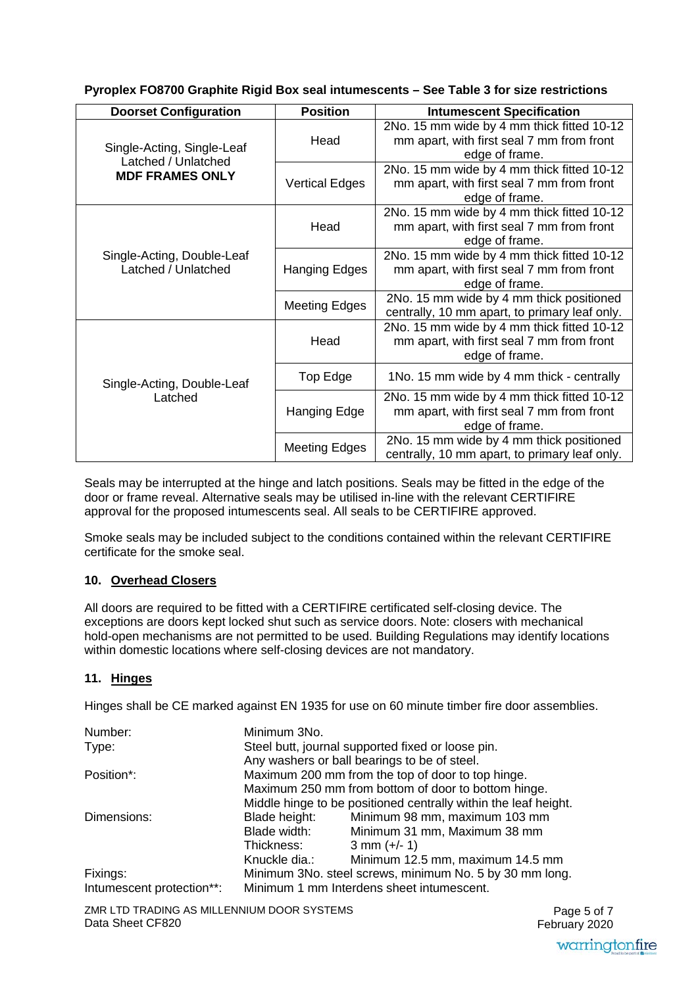| <b>Doorset Configuration</b>                      | <b>Position</b>       | <b>Intumescent Specification</b>                                                                          |
|---------------------------------------------------|-----------------------|-----------------------------------------------------------------------------------------------------------|
| Single-Acting, Single-Leaf                        | Head                  | 2No. 15 mm wide by 4 mm thick fitted 10-12<br>mm apart, with first seal 7 mm from front<br>edge of frame. |
| Latched / Unlatched<br><b>MDF FRAMES ONLY</b>     | <b>Vertical Edges</b> | 2No. 15 mm wide by 4 mm thick fitted 10-12<br>mm apart, with first seal 7 mm from front<br>edge of frame. |
|                                                   | Head                  | 2No. 15 mm wide by 4 mm thick fitted 10-12<br>mm apart, with first seal 7 mm from front<br>edge of frame. |
| Single-Acting, Double-Leaf<br>Latched / Unlatched | Hanging Edges         | 2No. 15 mm wide by 4 mm thick fitted 10-12<br>mm apart, with first seal 7 mm from front<br>edge of frame. |
|                                                   | <b>Meeting Edges</b>  | 2No. 15 mm wide by 4 mm thick positioned<br>centrally, 10 mm apart, to primary leaf only.                 |
|                                                   | Head                  | 2No. 15 mm wide by 4 mm thick fitted 10-12<br>mm apart, with first seal 7 mm from front<br>edge of frame. |
| Single-Acting, Double-Leaf                        | Top Edge              | 1No. 15 mm wide by 4 mm thick - centrally                                                                 |
| Latched                                           | Hanging Edge          | 2No. 15 mm wide by 4 mm thick fitted 10-12<br>mm apart, with first seal 7 mm from front<br>edge of frame. |
|                                                   | <b>Meeting Edges</b>  | 2No. 15 mm wide by 4 mm thick positioned<br>centrally, 10 mm apart, to primary leaf only.                 |

**Pyroplex FO8700 Graphite Rigid Box seal intumescents – See Table 3 for size restrictions**

Seals may be interrupted at the hinge and latch positions. Seals may be fitted in the edge of the door or frame reveal. Alternative seals may be utilised in-line with the relevant CERTIFIRE approval for the proposed intumescents seal. All seals to be CERTIFIRE approved.

Smoke seals may be included subject to the conditions contained within the relevant CERTIFIRE certificate for the smoke seal.

#### **10. Overhead Closers**

All doors are required to be fitted with a CERTIFIRE certificated self-closing device. The exceptions are doors kept locked shut such as service doors. Note: closers with mechanical hold-open mechanisms are not permitted to be used. Building Regulations may identify locations within domestic locations where self-closing devices are not mandatory.

#### **11. Hinges**

Hinges shall be CE marked against EN 1935 for use on 60 minute timber fire door assemblies.

| Number:                   | Minimum 3No.                                            |                                                                 |  |
|---------------------------|---------------------------------------------------------|-----------------------------------------------------------------|--|
| Type:                     | Steel butt, journal supported fixed or loose pin.       |                                                                 |  |
|                           |                                                         | Any washers or ball bearings to be of steel.                    |  |
| Position <sup>*</sup> :   |                                                         | Maximum 200 mm from the top of door to top hinge.               |  |
|                           | Maximum 250 mm from bottom of door to bottom hinge.     |                                                                 |  |
|                           |                                                         | Middle hinge to be positioned centrally within the leaf height. |  |
| Dimensions:               | Blade height:                                           | Minimum 98 mm, maximum 103 mm                                   |  |
|                           | Blade width:                                            | Minimum 31 mm, Maximum 38 mm                                    |  |
|                           | Thickness:                                              | $3$ mm $(+/- 1)$                                                |  |
|                           | Knuckle dia.:                                           | Minimum 12.5 mm, maximum 14.5 mm                                |  |
| Fixings:                  | Minimum 3No. steel screws, minimum No. 5 by 30 mm long. |                                                                 |  |
| Intumescent protection**: |                                                         | Minimum 1 mm Interdens sheet intumescent.                       |  |

ZMR LTD TRADING AS MILLENNIUM DOOR SYSTEMS Data Sheet CF820

 February 2020Page 5 of 7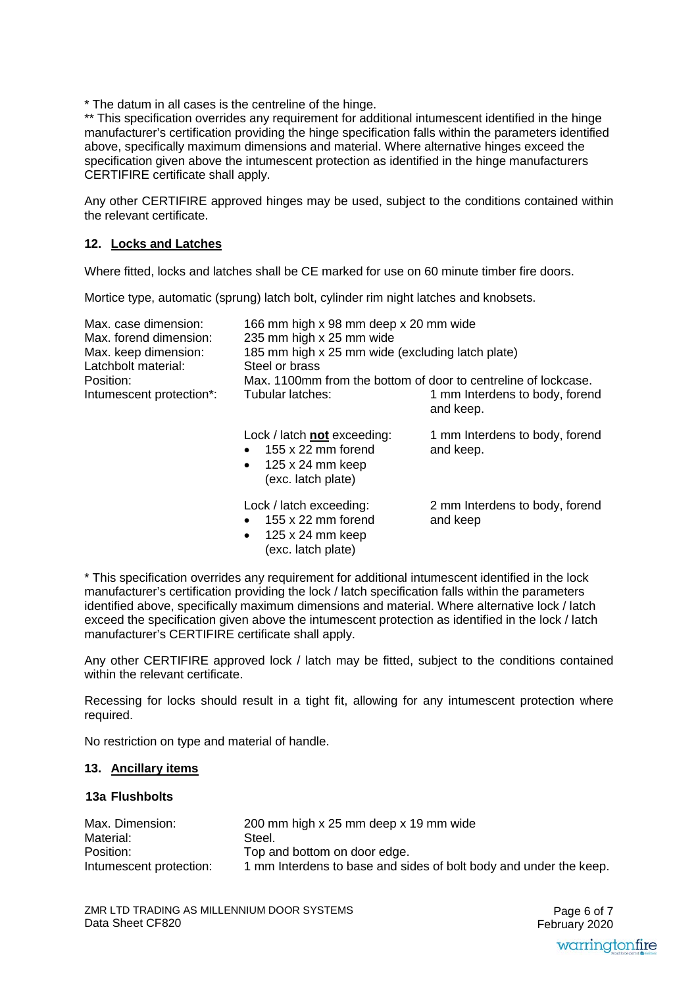\* The datum in all cases is the centreline of the hinge.

\*\* This specification overrides any requirement for additional intumescent identified in the hinge manufacturer's certification providing the hinge specification falls within the parameters identified above, specifically maximum dimensions and material. Where alternative hinges exceed the specification given above the intumescent protection as identified in the hinge manufacturers CERTIFIRE certificate shall apply.

Any other CERTIFIRE approved hinges may be used, subject to the conditions contained within the relevant certificate.

#### **12. Locks and Latches**

Where fitted, locks and latches shall be CE marked for use on 60 minute timber fire doors.

Mortice type, automatic (sprung) latch bolt, cylinder rim night latches and knobsets.

| Max. case dimension:<br>Max. forend dimension:<br>Max. keep dimension:<br>Latchbolt material:<br>Position:<br>Intumescent protection*: | 166 mm high x 98 mm deep x 20 mm wide<br>235 mm high x 25 mm wide<br>185 mm high x 25 mm wide (excluding latch plate)<br>Steel or brass<br>Max, 1100mm from the bottom of door to centreline of lockcase.<br>Tubular latches:<br>1 mm Interdens to body, forend<br>and keep. |                                             |
|----------------------------------------------------------------------------------------------------------------------------------------|------------------------------------------------------------------------------------------------------------------------------------------------------------------------------------------------------------------------------------------------------------------------------|---------------------------------------------|
|                                                                                                                                        | Lock / latch not exceeding:<br>155 x 22 mm forend<br>$\bullet$<br>$\bullet$ 125 x 24 mm keep<br>(exc. latch plate)                                                                                                                                                           | 1 mm Interdens to body, forend<br>and keep. |
|                                                                                                                                        | Lock / latch exceeding:<br>155 x 22 mm forend<br>$\bullet$<br>$125 \times 24$ mm keep<br>$\bullet$<br>(exc. latch plate)                                                                                                                                                     | 2 mm Interdens to body, forend<br>and keep  |

\* This specification overrides any requirement for additional intumescent identified in the lock manufacturer's certification providing the lock / latch specification falls within the parameters identified above, specifically maximum dimensions and material. Where alternative lock / latch exceed the specification given above the intumescent protection as identified in the lock / latch manufacturer's CERTIFIRE certificate shall apply.

Any other CERTIFIRE approved lock / latch may be fitted, subject to the conditions contained within the relevant certificate.

Recessing for locks should result in a tight fit, allowing for any intumescent protection where required.

No restriction on type and material of handle.

#### **13. Ancillary items**

#### **13a Flushbolts**

| Max. Dimension:         | 200 mm high x 25 mm deep x 19 mm wide                             |
|-------------------------|-------------------------------------------------------------------|
| Material:               | Steel.                                                            |
| Position:               | Top and bottom on door edge.                                      |
| Intumescent protection: | 1 mm Interdens to base and sides of bolt body and under the keep. |

 February 2020Page 6 of 7